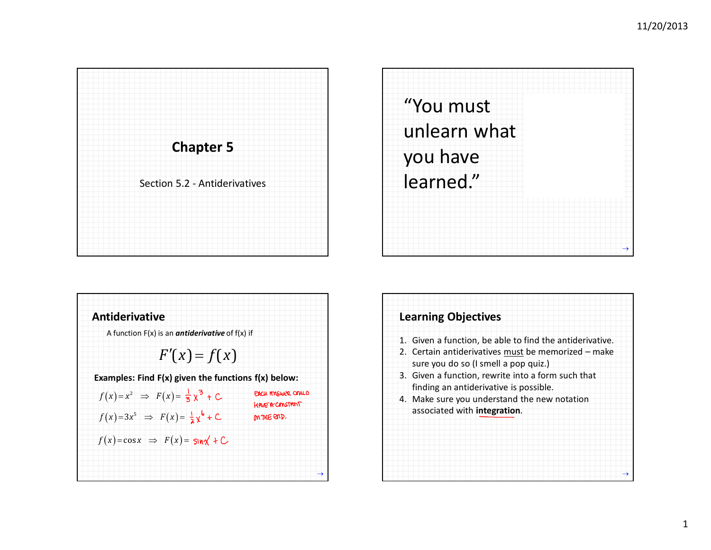





| 1. Given a function, be able to find the antiderivative.<br>sure you do so (I smell a pop quiz.)<br>finding an antiderivative is possible. | 2. Certain antiderivatives must be memorized - make<br>3. Given a function, rewrite into a form such that<br>4. Make sure you understand the new notation |
|--------------------------------------------------------------------------------------------------------------------------------------------|-----------------------------------------------------------------------------------------------------------------------------------------------------------|
|                                                                                                                                            |                                                                                                                                                           |
|                                                                                                                                            |                                                                                                                                                           |
|                                                                                                                                            |                                                                                                                                                           |
|                                                                                                                                            |                                                                                                                                                           |
|                                                                                                                                            |                                                                                                                                                           |
|                                                                                                                                            | associated with integration.                                                                                                                              |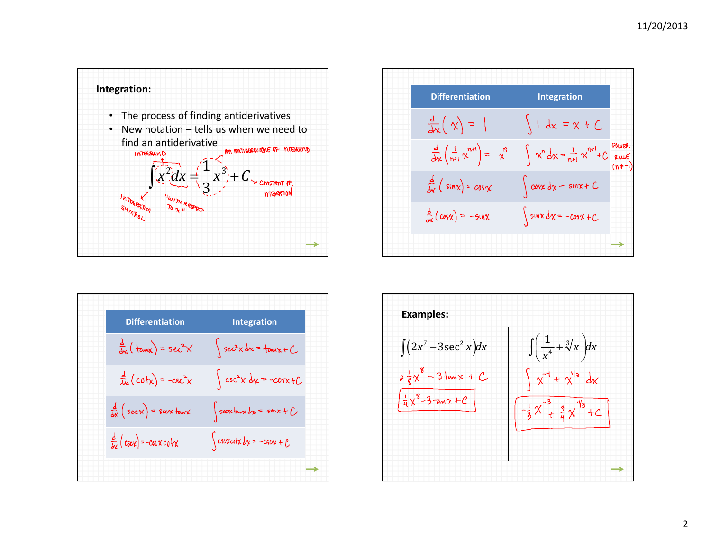

| <b>Differentiation</b>                       | <b>Integration</b>                      |
|----------------------------------------------|-----------------------------------------|
| $\frac{d}{dx}$ ( tanx ) = sec <sup>2</sup> X | $\int$ sec <sup>2</sup> x dx = tonx + C |
| $\frac{d}{dx}$ (cotx) = $-csc^{2}x$          | $\int \csc^2 x \, dx = -\cot x + C$     |
| $\frac{d}{dx}$ (seex) = seex town            | $\int$ seextanx dx = sec x + $\int$     |
| $\frac{d}{dx}$ (cscx) = -cstxcotx            | $\int$ csexcotx dx = -csex + $\ell$     |
|                                              |                                         |

| <b>Differentiation</b>                                | <b>Integration</b>                              |                  |
|-------------------------------------------------------|-------------------------------------------------|------------------|
| $\frac{d}{dx}(\chi) =$                                | $\int 1 dx = x + C$                             |                  |
| $\frac{d}{dx}\left(\frac{1}{n+1}x^{n+1}\right) = x^n$ | $\int x^n dx = \frac{1}{n+1} x^{n+1} + C$ POWER | Power<br>$(n+1)$ |
| $\frac{d}{dx}$ (sin x) = $cos x$                      | $\int \cos x \, dx = \sin x + C$                |                  |
| $\frac{d}{dx}$ $\left(\cos x\right) = -\sin x$        | $\int$ sinx $dx = -\cos x + C$                  |                  |
|                                                       |                                                 |                  |

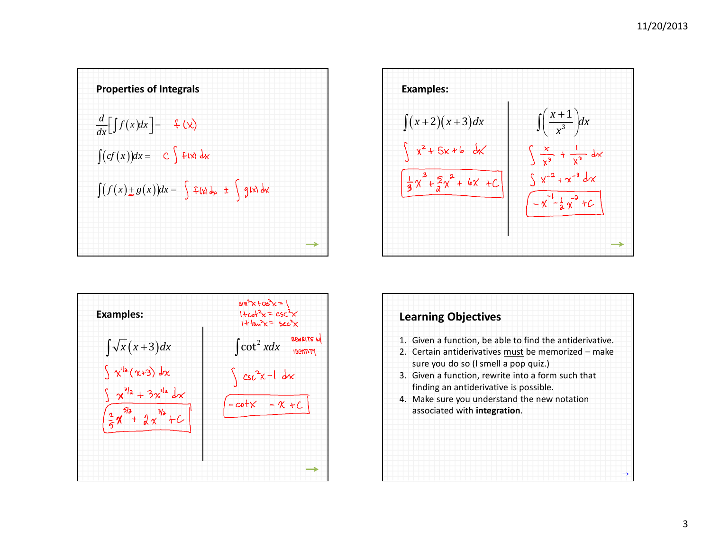



| <b>Examples:</b>                                                                                       | $\sin^2x + \cos^2x = 1$<br>$1 + c_0 t^2 x = c_5 c^2 x$<br>$1 + \tan^2 x = 52c^2x$ |
|--------------------------------------------------------------------------------------------------------|-----------------------------------------------------------------------------------|
| $\int \sqrt{x(x+3)}dx$                                                                                 | REWRITE W<br>$\int \cot^2 x dx$<br><b>IDENTITY</b>                                |
| $\int x^{12}(x+3) dx$<br>$\int x^{3/2} + 3x^{1/2} dx$<br>$\int \frac{1}{5} x^{5/3} + \int x^{3/3} + C$ | $\int \csc^2 x - 1 dx$<br>$-cotx - x + C$                                         |

| <b>Learning Objectives</b>                               |  |
|----------------------------------------------------------|--|
| 1. Given a function, be able to find the antiderivative. |  |
| 2. Certain antiderivatives must be memorized - make      |  |
| sure you do so (I smell a pop quiz.)                     |  |
| 3. Given a function, rewrite into a form such that       |  |
| finding an antiderivative is possible.                   |  |
| 4. Make sure you understand the new notation             |  |
| associated with integration.                             |  |
|                                                          |  |
|                                                          |  |
|                                                          |  |
|                                                          |  |
|                                                          |  |